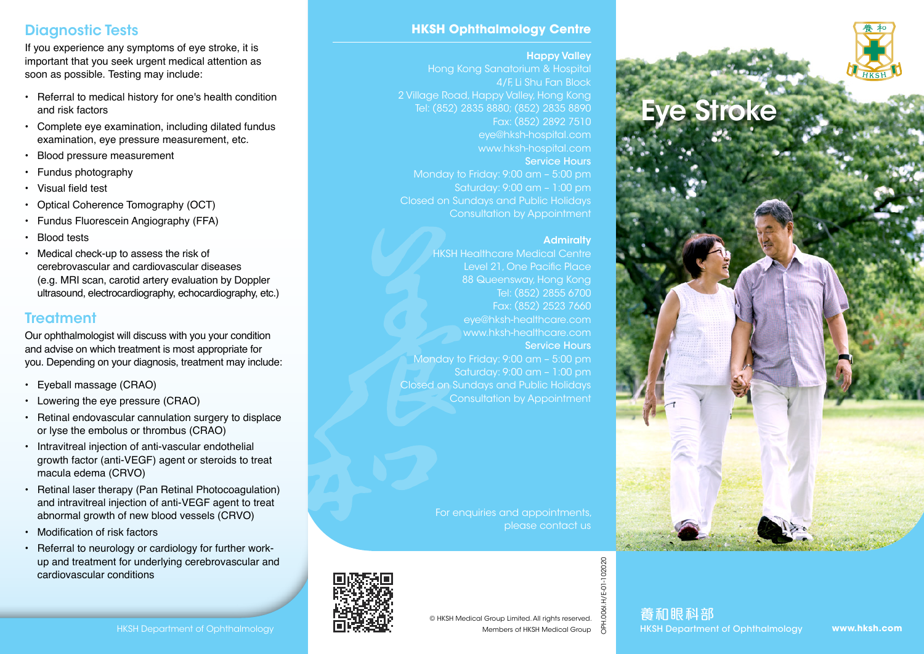# Diagnostic Tests

If you experience any symptoms of eye stroke, it is important that you seek urgent medical attention as soon as possible. Testing may include:

- Referral to medical history for one's health condition and risk factors
- Complete eye examination, including dilated fundus examination, eye pressure measurement, etc.
- Blood pressure measurement
- Fundus photography
- Visual field test
- Optical Coherence Tomography (OCT)
- Fundus Fluorescein Angiography (FFA)
- **Blood tests**
- Medical check-up to assess the risk of cerebrovascular and cardiovascular diseases (e.g. MRI scan, carotid artery evaluation by Doppler ultrasound, electrocardiography, echocardiography, etc.)

# **Treatment**

Our ophthalmologist will discuss with you your condition and advise on which treatment is most appropriate for you. Depending on your diagnosis, treatment may include:

- Eyeball massage (CRAO)
- Lowering the eye pressure (CRAO)
- Retinal endovascular cannulation surgery to displace or lyse the embolus or thrombus (CRAO)
- Intravitreal injection of anti-vascular endothelial growth factor (anti-VEGF) agent or steroids to treat macula edema (CRVO)
- Retinal laser therapy (Pan Retinal Photocoagulation) and intravitreal injection of anti-VEGF agent to treat abnormal growth of new blood vessels (CRVO)
- Modification of risk factors
- Referral to neurology or cardiology for further workup and treatment for underlying cerebrovascular and cardiovascular conditions

## **HKSH Ophthalmology Centre**

#### Happy Valley

Hong Kong Sanatorium & Hospital 4/F, Li Shu Fan Block 2 Village Road, Happy Valley, Hong Kong Tel: (852) 2835 8880; (852) 2835 8890 Fax: (852) 2892 7510 eye@hksh-hospital.com www.hksh-hospital.com Service Hours Monday to Friday: 9:00 am – 5:00 pm Saturday: 9:00 am – 1:00 pm Closed on Sundays and Public Holidays Consultation by Appointment

### **Admiralty**

HKSH Healthcare Medical Centre Level 21, One Pacific Place 88 Queensway, Hong Kong Tel: (852) 2855 6700 Fax: (852) 2523 7660 eye@hksh-healthcare.com www.hksh-healthcare.com Service Hours Monday to Friday: 9:00 am – 5:00 pm Saturday: 9:00 am – 1:00 pm Closed on Sundays and Public Holidays Consultation by Appointment

> For enquiries and appointments, please contact us



Eye Stroke